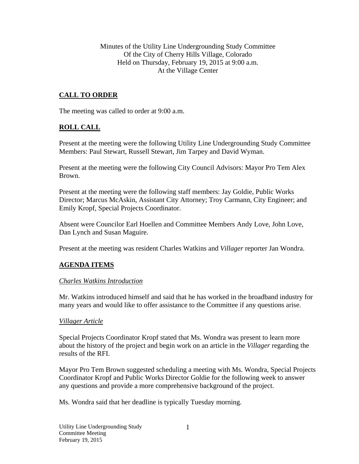Minutes of the Utility Line Undergrounding Study Committee Of the City of Cherry Hills Village, Colorado Held on Thursday, February 19, 2015 at 9:00 a.m. At the Village Center

# **CALL TO ORDER**

The meeting was called to order at 9:00 a.m.

### **ROLL CALL**

Present at the meeting were the following Utility Line Undergrounding Study Committee Members: Paul Stewart, Russell Stewart, Jim Tarpey and David Wyman.

Present at the meeting were the following City Council Advisors: Mayor Pro Tem Alex Brown.

Present at the meeting were the following staff members: Jay Goldie, Public Works Director; Marcus McAskin, Assistant City Attorney; Troy Carmann, City Engineer; and Emily Kropf, Special Projects Coordinator.

Absent were Councilor Earl Hoellen and Committee Members Andy Love, John Love, Dan Lynch and Susan Maguire.

Present at the meeting was resident Charles Watkins and *Villager* reporter Jan Wondra.

### **AGENDA ITEMS**

### *Charles Watkins Introduction*

Mr. Watkins introduced himself and said that he has worked in the broadband industry for many years and would like to offer assistance to the Committee if any questions arise.

### *Villager Article*

Special Projects Coordinator Kropf stated that Ms. Wondra was present to learn more about the history of the project and begin work on an article in the *Villager* regarding the results of the RFI.

Mayor Pro Tem Brown suggested scheduling a meeting with Ms. Wondra, Special Projects Coordinator Kropf and Public Works Director Goldie for the following week to answer any questions and provide a more comprehensive background of the project.

Ms. Wondra said that her deadline is typically Tuesday morning.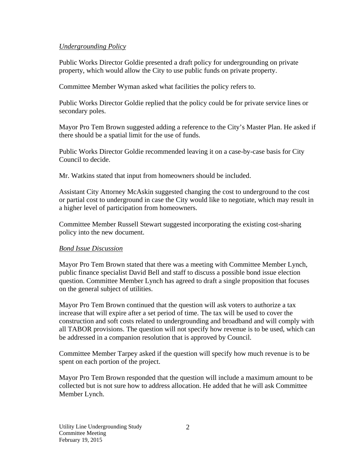### *Undergrounding Policy*

Public Works Director Goldie presented a draft policy for undergrounding on private property, which would allow the City to use public funds on private property.

Committee Member Wyman asked what facilities the policy refers to.

Public Works Director Goldie replied that the policy could be for private service lines or secondary poles.

Mayor Pro Tem Brown suggested adding a reference to the City's Master Plan. He asked if there should be a spatial limit for the use of funds.

Public Works Director Goldie recommended leaving it on a case-by-case basis for City Council to decide.

Mr. Watkins stated that input from homeowners should be included.

Assistant City Attorney McAskin suggested changing the cost to underground to the cost or partial cost to underground in case the City would like to negotiate, which may result in a higher level of participation from homeowners.

Committee Member Russell Stewart suggested incorporating the existing cost-sharing policy into the new document.

### *Bond Issue Discussion*

Mayor Pro Tem Brown stated that there was a meeting with Committee Member Lynch, public finance specialist David Bell and staff to discuss a possible bond issue election question. Committee Member Lynch has agreed to draft a single proposition that focuses on the general subject of utilities.

Mayor Pro Tem Brown continued that the question will ask voters to authorize a tax increase that will expire after a set period of time. The tax will be used to cover the construction and soft costs related to undergrounding and broadband and will comply with all TABOR provisions. The question will not specify how revenue is to be used, which can be addressed in a companion resolution that is approved by Council.

Committee Member Tarpey asked if the question will specify how much revenue is to be spent on each portion of the project.

Mayor Pro Tem Brown responded that the question will include a maximum amount to be collected but is not sure how to address allocation. He added that he will ask Committee Member Lynch.